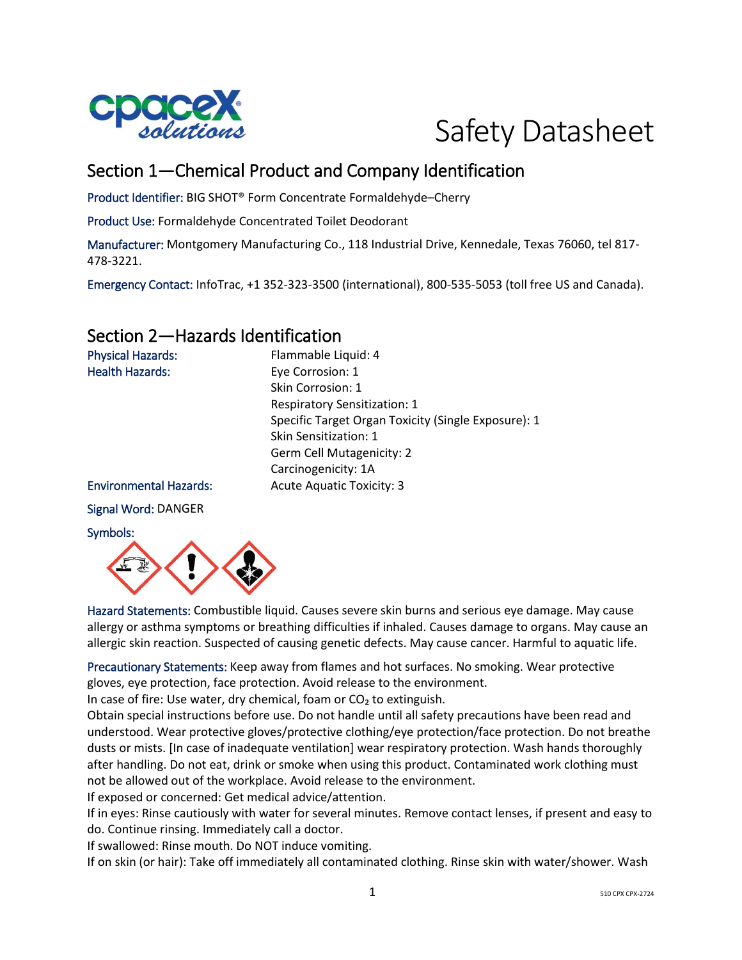



# Section 1—Chemical Product and Company Identification

Product Identifier: BIG SHOT® Form Concentrate Formaldehyde–Cherry

Product Use: Formaldehyde Concentrated Toilet Deodorant

Manufacturer: Montgomery Manufacturing Co., 118 Industrial Drive, Kennedale, Texas 76060, tel 817- 478-3221.

Emergency Contact: InfoTrac, +1 352-323-3500 (international), 800-535-5053 (toll free US and Canada).

## Section 2—Hazards Identification

| <b>Physical Hazards:</b>      | Flammable Liquid: 4                                 |
|-------------------------------|-----------------------------------------------------|
| <b>Health Hazards:</b>        | Eye Corrosion: 1                                    |
|                               | Skin Corrosion: 1                                   |
|                               | <b>Respiratory Sensitization: 1</b>                 |
|                               | Specific Target Organ Toxicity (Single Exposure): 1 |
|                               | Skin Sensitization: 1                               |
|                               | Germ Cell Mutagenicity: 2                           |
|                               | Carcinogenicity: 1A                                 |
| <b>Environmental Hazards:</b> | <b>Acute Aquatic Toxicity: 3</b>                    |
| Signal Word: DANGER           |                                                     |
| Symbols:                      |                                                     |



Hazard Statements: Combustible liquid. Causes severe skin burns and serious eye damage. May cause allergy or asthma symptoms or breathing difficulties if inhaled. Causes damage to organs. May cause an allergic skin reaction. Suspected of causing genetic defects. May cause cancer. Harmful to aquatic life.

Precautionary Statements: Keep away from flames and hot surfaces. No smoking. Wear protective gloves, eye protection, face protection. Avoid release to the environment.

In case of fire: Use water, dry chemical, foam or CO<sub>2</sub> to extinguish.

Obtain special instructions before use. Do not handle until all safety precautions have been read and understood. Wear protective gloves/protective clothing/eye protection/face protection. Do not breathe dusts or mists. [In case of inadequate ventilation] wear respiratory protection. Wash hands thoroughly after handling. Do not eat, drink or smoke when using this product. Contaminated work clothing must not be allowed out of the workplace. Avoid release to the environment.

If exposed or concerned: Get medical advice/attention.

If in eyes: Rinse cautiously with water for several minutes. Remove contact lenses, if present and easy to do. Continue rinsing. Immediately call a doctor.

If swallowed: Rinse mouth. Do NOT induce vomiting.

If on skin (or hair): Take off immediately all contaminated clothing. Rinse skin with water/shower. Wash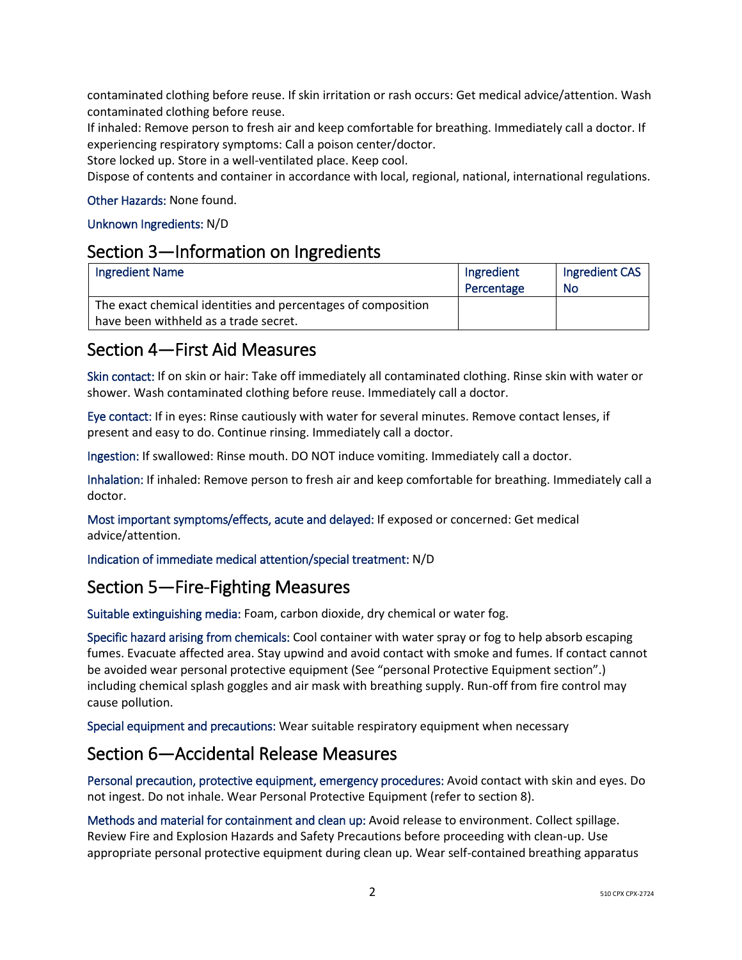contaminated clothing before reuse. If skin irritation or rash occurs: Get medical advice/attention. Wash contaminated clothing before reuse.

If inhaled: Remove person to fresh air and keep comfortable for breathing. Immediately call a doctor. If experiencing respiratory symptoms: Call a poison center/doctor.

Store locked up. Store in a well-ventilated place. Keep cool.

Dispose of contents and container in accordance with local, regional, national, international regulations.

#### Other Hazards: None found.

#### Unknown Ingredients: N/D

### Section 3—Information on Ingredients

| <b>Ingredient Name</b>                                       | Ingredient<br>Percentage | Ingredient CAS<br><b>No</b> |
|--------------------------------------------------------------|--------------------------|-----------------------------|
| The exact chemical identities and percentages of composition |                          |                             |
| have been withheld as a trade secret.                        |                          |                             |

### Section 4—First Aid Measures

Skin contact: If on skin or hair: Take off immediately all contaminated clothing. Rinse skin with water or shower. Wash contaminated clothing before reuse. Immediately call a doctor.

Eye contact: If in eyes: Rinse cautiously with water for several minutes. Remove contact lenses, if present and easy to do. Continue rinsing. Immediately call a doctor.

Ingestion: If swallowed: Rinse mouth. DO NOT induce vomiting. Immediately call a doctor.

Inhalation: If inhaled: Remove person to fresh air and keep comfortable for breathing. Immediately call a doctor.

Most important symptoms/effects, acute and delayed: If exposed or concerned: Get medical advice/attention.

Indication of immediate medical attention/special treatment: N/D

## Section 5—Fire-Fighting Measures

Suitable extinguishing media: Foam, carbon dioxide, dry chemical or water fog.

Specific hazard arising from chemicals: Cool container with water spray or fog to help absorb escaping fumes. Evacuate affected area. Stay upwind and avoid contact with smoke and fumes. If contact cannot be avoided wear personal protective equipment (See "personal Protective Equipment section".) including chemical splash goggles and air mask with breathing supply. Run-off from fire control may cause pollution.

Special equipment and precautions: Wear suitable respiratory equipment when necessary

### Section 6—Accidental Release Measures

Personal precaution, protective equipment, emergency procedures: Avoid contact with skin and eyes. Do not ingest. Do not inhale. Wear Personal Protective Equipment (refer to section 8).

Methods and material for containment and clean up: Avoid release to environment. Collect spillage. Review Fire and Explosion Hazards and Safety Precautions before proceeding with clean-up. Use appropriate personal protective equipment during clean up. Wear self-contained breathing apparatus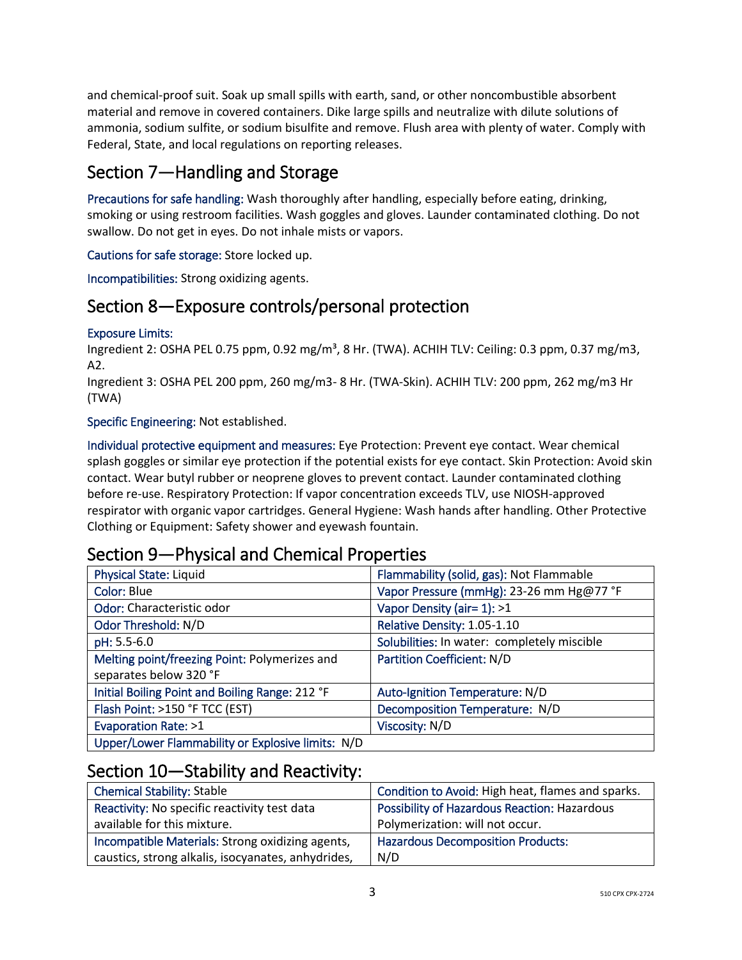and chemical-proof suit. Soak up small spills with earth, sand, or other noncombustible absorbent material and remove in covered containers. Dike large spills and neutralize with dilute solutions of ammonia, sodium sulfite, or sodium bisulfite and remove. Flush area with plenty of water. Comply with Federal, State, and local regulations on reporting releases.

# Section 7—Handling and Storage

Precautions for safe handling: Wash thoroughly after handling, especially before eating, drinking, smoking or using restroom facilities. Wash goggles and gloves. Launder contaminated clothing. Do not swallow. Do not get in eyes. Do not inhale mists or vapors.

### Cautions for safe storage: Store locked up.

Incompatibilities: Strong oxidizing agents.

## Section 8—Exposure controls/personal protection

### Exposure Limits:

Ingredient 2: OSHA PEL 0.75 ppm, 0.92 mg/m<sup>3</sup>, 8 Hr. (TWA). ACHIH TLV: Ceiling: 0.3 ppm, 0.37 mg/m3, A2.

Ingredient 3: OSHA PEL 200 ppm, 260 mg/m3- 8 Hr. (TWA-Skin). ACHIH TLV: 200 ppm, 262 mg/m3 Hr (TWA)

#### Specific Engineering: Not established.

Individual protective equipment and measures: Eye Protection: Prevent eye contact. Wear chemical splash goggles or similar eye protection if the potential exists for eye contact. Skin Protection: Avoid skin contact. Wear butyl rubber or neoprene gloves to prevent contact. Launder contaminated clothing before re-use. Respiratory Protection: If vapor concentration exceeds TLV, use NIOSH-approved respirator with organic vapor cartridges. General Hygiene: Wash hands after handling. Other Protective Clothing or Equipment: Safety shower and eyewash fountain.

### Section 9—Physical and Chemical Properties

| <b>Physical State: Liquid</b>                     | Flammability (solid, gas): Not Flammable    |
|---------------------------------------------------|---------------------------------------------|
| Color: Blue                                       | Vapor Pressure (mmHg): 23-26 mm Hg@77 °F    |
| Odor: Characteristic odor                         | Vapor Density (air= 1): >1                  |
| Odor Threshold: N/D                               | Relative Density: 1.05-1.10                 |
| pH: 5.5-6.0                                       | Solubilities: In water: completely miscible |
| Melting point/freezing Point: Polymerizes and     | Partition Coefficient: N/D                  |
| separates below 320 °F                            |                                             |
| Initial Boiling Point and Boiling Range: 212 °F   | Auto-Ignition Temperature: N/D              |
| Flash Point: >150 °F TCC (EST)                    | Decomposition Temperature: N/D              |
| <b>Evaporation Rate: &gt;1</b>                    | Viscosity: N/D                              |
| Upper/Lower Flammability or Explosive limits: N/D |                                             |

### Section 10—Stability and Reactivity:

| <b>Chemical Stability: Stable</b>                  | Condition to Avoid: High heat, flames and sparks.   |
|----------------------------------------------------|-----------------------------------------------------|
| Reactivity: No specific reactivity test data       | <b>Possibility of Hazardous Reaction: Hazardous</b> |
| available for this mixture.                        | Polymerization: will not occur.                     |
| Incompatible Materials: Strong oxidizing agents,   | <b>Hazardous Decomposition Products:</b>            |
| caustics, strong alkalis, isocyanates, anhydrides, | N/D                                                 |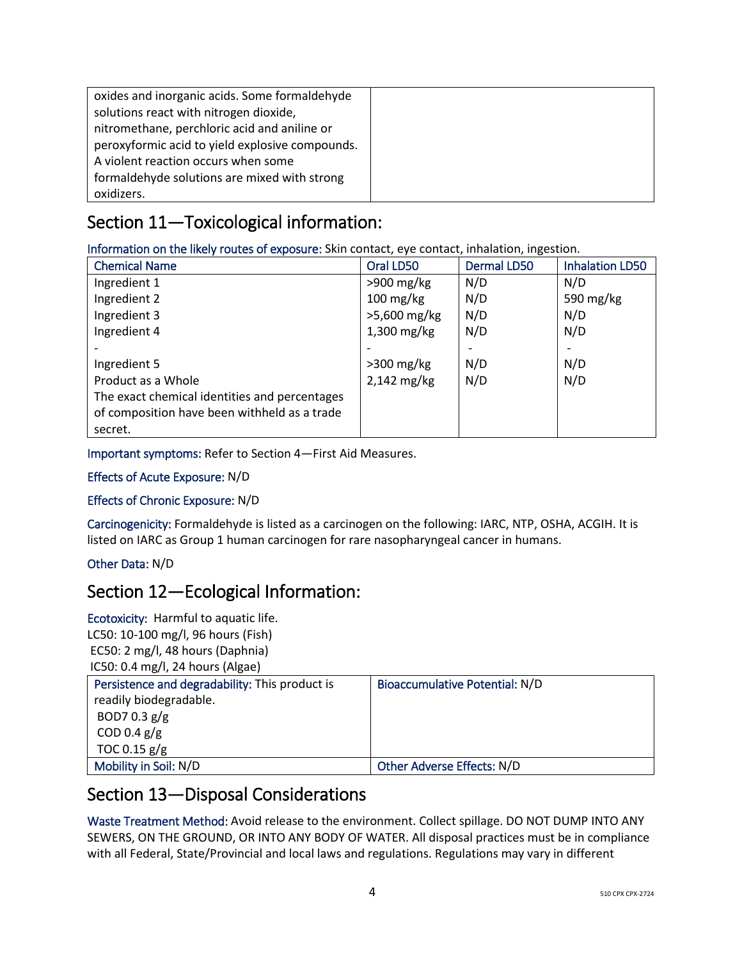| oxides and inorganic acids. Some formaldehyde   |  |
|-------------------------------------------------|--|
| solutions react with nitrogen dioxide,          |  |
| nitromethane, perchloric acid and aniline or    |  |
| peroxyformic acid to yield explosive compounds. |  |
| A violent reaction occurs when some             |  |
| formaldehyde solutions are mixed with strong    |  |
| oxidizers.                                      |  |

# Section 11—Toxicological information:

Information on the likely routes of exposure: Skin contact, eye contact, inhalation, ingestion.

| <b>Chemical Name</b>                          | Oral LD50           | <b>Dermal LD50</b> | <b>Inhalation LD50</b> |
|-----------------------------------------------|---------------------|--------------------|------------------------|
| Ingredient 1                                  | $>900$ mg/kg        | N/D                | N/D                    |
| Ingredient 2                                  | $100 \text{ mg/kg}$ | N/D                | 590 mg/kg              |
| Ingredient 3                                  | >5,600 mg/kg        | N/D                | N/D                    |
| Ingredient 4                                  | $1,300$ mg/kg       | N/D                | N/D                    |
|                                               |                     |                    |                        |
| Ingredient 5                                  | $>300$ mg/kg        | N/D                | N/D                    |
| Product as a Whole                            | 2,142 mg/kg         | N/D                | N/D                    |
| The exact chemical identities and percentages |                     |                    |                        |
| of composition have been withheld as a trade  |                     |                    |                        |
| secret.                                       |                     |                    |                        |

Important symptoms: Refer to Section 4—First Aid Measures.

Effects of Acute Exposure: N/D

#### Effects of Chronic Exposure: N/D

Carcinogenicity: Formaldehyde is listed as a carcinogen on the following: IARC, NTP, OSHA, ACGIH. It is listed on IARC as Group 1 human carcinogen for rare nasopharyngeal cancer in humans.

Other Data: N/D

### Section 12—Ecological Information:

Ecotoxicity: Harmful to aquatic life. LC50: 10-100 mg/l, 96 hours (Fish) EC50: 2 mg/l, 48 hours (Daphnia) IC50: 0.4 mg/l, 24 hours (Algae)

| Persistence and degradability: This product is | Bioaccumulative Potential: N/D |
|------------------------------------------------|--------------------------------|
| readily biodegradable.                         |                                |
| BOD7 0.3 $g/g$                                 |                                |
| COD 0.4 $g/g$                                  |                                |
| TOC 0.15 $g/g$                                 |                                |
| Mobility in Soil: N/D                          | Other Adverse Effects: N/D     |

### Section 13—Disposal Considerations

Waste Treatment Method: Avoid release to the environment. Collect spillage. DO NOT DUMP INTO ANY SEWERS, ON THE GROUND, OR INTO ANY BODY OF WATER. All disposal practices must be in compliance with all Federal, State/Provincial and local laws and regulations. Regulations may vary in different